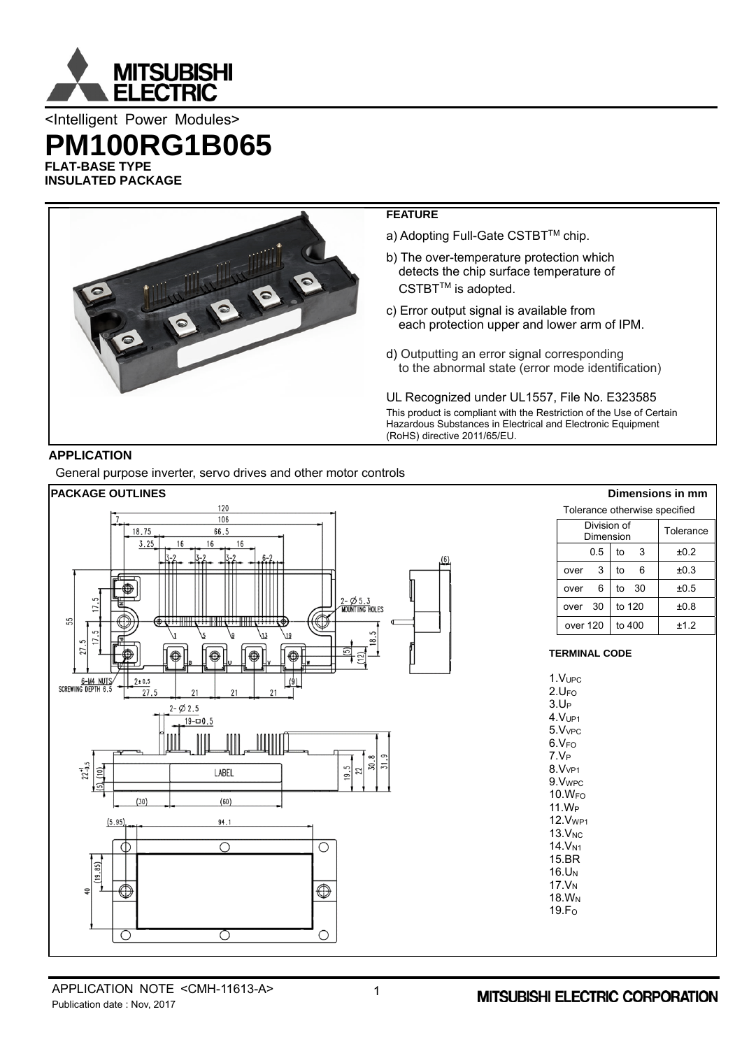

<Intelligent Power Modules>

**PM100RG1B065** 

**FLAT-BASE TYPE INSULATED PACKAGE** 



# **APPLICATION**

General purpose inverter, servo drives and other motor controls

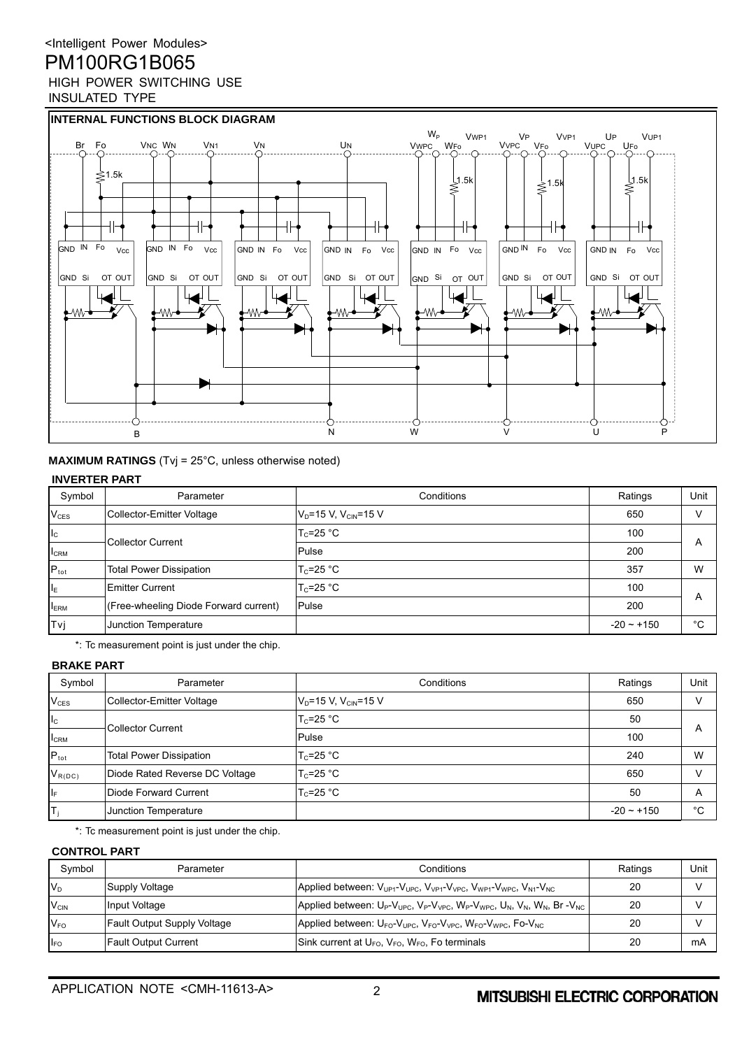

**MAXIMUM RATINGS** (Tvj = 25°C, unless otherwise noted)

#### **INVERTER PART**

| Symbol           | Parameter                             | Conditions                            | Ratings         | Unit                    |
|------------------|---------------------------------------|---------------------------------------|-----------------|-------------------------|
| $V_{CES}$        | Collector-Emitter Voltage             | $V_{D}$ =15 V, V <sub>CIN</sub> =15 V | 650             | $\mathcal{U}$           |
| $I_{\rm C}$      | <b>Collector Current</b>              | $T_c = 25 °C$                         | 100             |                         |
| $I_{\rm CRM}$    |                                       | Pulse                                 | 200             | $\overline{\mathsf{A}}$ |
| $P_{\text{tot}}$ | <b>Total Power Dissipation</b>        | $T_c = 25 °C$                         | 357             | W                       |
| IΕ               | <b>Emitter Current</b>                | $T_c = 25 °C$                         | 100             |                         |
| <b>IERM</b>      | (Free-wheeling Diode Forward current) | Pulse                                 | 200             | $\overline{\mathsf{A}}$ |
| Tvj              | Junction Temperature                  |                                       | $-20 \sim +150$ | °C                      |

\*: Tc measurement point is just under the chip.

### **BRAKE PART**

| Symbol           | Parameter                      | Conditions                            | Ratings         | Unit |
|------------------|--------------------------------|---------------------------------------|-----------------|------|
| $V_{CES}$        | Collector-Emitter Voltage      | $V_{D}$ =15 V, V <sub>CIN</sub> =15 V | 650             |      |
| $I_{\rm C}$      | <b>Collector Current</b>       | $T_c = 25 °C$                         | 50              |      |
| <b>I</b> CRM     |                                | Pulse                                 | 100             | A    |
| $P_{\text{tot}}$ | <b>Total Power Dissipation</b> | $T_c = 25 °C$                         | 240             | W    |
| $V_{R(DC)}$      | Diode Rated Reverse DC Voltage | $T_c = 25 °C$                         | 650             |      |
| IF.              | Diode Forward Current          | $T_c = 25 °C$                         | 50              | A    |
|                  | Junction Temperature           |                                       | $-20 \sim +150$ | °C   |

\*: Tc measurement point is just under the chip.

### **CONTROL PART**

| Symbol                      | Parameter                          | Conditions                                                                                                   | Ratings | Unit |
|-----------------------------|------------------------------------|--------------------------------------------------------------------------------------------------------------|---------|------|
| $V_{D}$                     | Supply Voltage                     | Applied between: $V_{UP1}$ - $V_{UPC}$ , $V_{VP1}$ - $V_{VPC}$ , $V_{WP1}$ - $V_{WPC}$ , $V_{NI}$ - $V_{NC}$ | 20      |      |
| $\mathsf{V}_{\mathsf{CIN}}$ | Input Voltage                      | Applied between: $U_P-V_{UPC}$ , $V_P-V_{VPC}$ , $W_P-V_{WPC}$ , $U_N$ , $V_N$ , $W_N$ , Br - $V_{NC}$       | 20      |      |
| $V_{FO}$                    | <b>Fault Output Supply Voltage</b> | Applied between: $U_{FO}$ - $V_{UPC}$ , $V_{FO}$ - $V_{VPC}$ , $W_{FO}$ - $V_{WPC}$ , Fo- $V_{NC}$           | 20      |      |
| <b>IFO</b>                  | <b>Fault Output Current</b>        | Sink current at $U_{\text{FO}}$ , $V_{\text{FO}}$ , $W_{\text{FO}}$ , Fo terminals                           | 20      | mA   |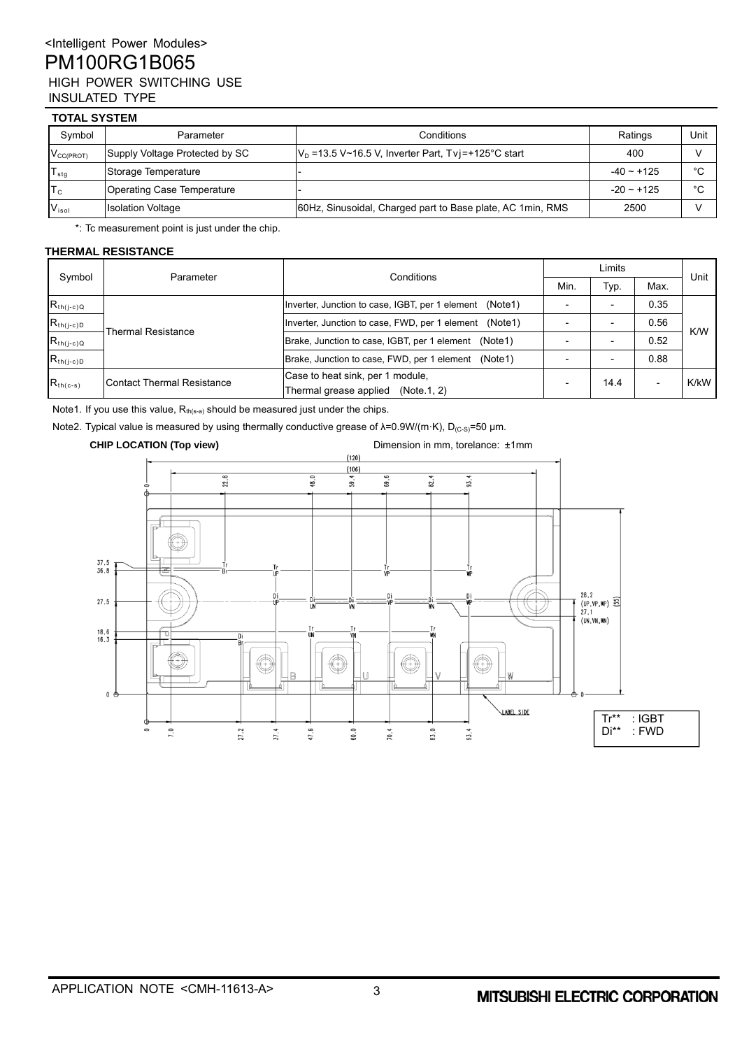### **TOTAL SYSTEM**

| Symbol                    | Conditions<br>Parameter        |                                                            | Ratings      | Unit    |  |  |  |  |  |
|---------------------------|--------------------------------|------------------------------------------------------------|--------------|---------|--|--|--|--|--|
| $V_{CC(PROT)}$            | Supply Voltage Protected by SC | $V_D$ =13.5 V~16.5 V, Inverter Part, Tvj=+125°C start      | 400          |         |  |  |  |  |  |
| $T_{\text{stg}}$          | Storage Temperature            |                                                            | $-40 - +125$ | $\circ$ |  |  |  |  |  |
| $\mathsf{T}_{\mathrm{c}}$ | Operating Case Temperature     |                                                            | $-20 - 125$  | $\circ$ |  |  |  |  |  |
| V <sub>isol</sub>         | <b>Isolation Voltage</b>       | 60Hz, Sinusoidal, Charged part to Base plate, AC 1min, RMS | 2500         |         |  |  |  |  |  |

\*: Tc measurement point is just under the chip.

#### **THERMAL RESISTANCE**

| Symbol         | Parameter                         | Conditions                                                                | Limits |      |                          |      |
|----------------|-----------------------------------|---------------------------------------------------------------------------|--------|------|--------------------------|------|
|                |                                   |                                                                           | Min.   | Typ. | Max.                     | Unit |
| $R_{th(j-c)Q}$ | <b>Thermal Resistance</b>         | Inverter, Junction to case, IGBT, per 1 element (Note1)                   |        |      | 0.35                     |      |
| $R_{th(j-c)D}$ |                                   | Inverter, Junction to case, FWD, per 1 element (Note1)                    |        |      | 0.56                     | K/W  |
| $R_{th(j-c)Q}$ |                                   | Brake, Junction to case, IGBT, per 1 element (Note1)                      |        |      | 0.52                     |      |
| $R_{th(j-c)D}$ |                                   | Brake, Junction to case, FWD, per 1 element<br>(Note1)                    |        |      | 0.88                     |      |
| $R_{th(c-s)}$  | <b>Contact Thermal Resistance</b> | Case to heat sink, per 1 module,<br>Thermal grease applied<br>(Note.1, 2) |        | 14.4 | $\overline{\phantom{a}}$ | K/kW |

Note1. If you use this value,  $R_{th(s-a)}$  should be measured just under the chips.

Note2. Typical value is measured by using thermally conductive grease of  $\lambda$ =0.9W/(m·K), D<sub>(c-s)</sub>=50 μm.

#### **CHIP LOCATION (Top view)** Dimension in mm, torelance:  $\pm 1$ mm  $(120)$  $(106)$  $22.8$ 48.0  $69.6$ 82.4  $93.4$  $59.4$  $37.5$ <br> $36.8$ 28.2<br>(UP, VP, WP) 33<br>27.1<br>(UN, VN, WN)  $27.5$  $18.6$ <br> $16.3$ ١  $\bigcirc$ W Ē  $\theta$ LABEL SIDE Tr\*\* : IGBT<br>Di\*\* : FWD  $7.0$ 27.2  $37.4$ 47.6  $60.0$ 83.0 Di\*\* : FWD  $70.4$  $93.4$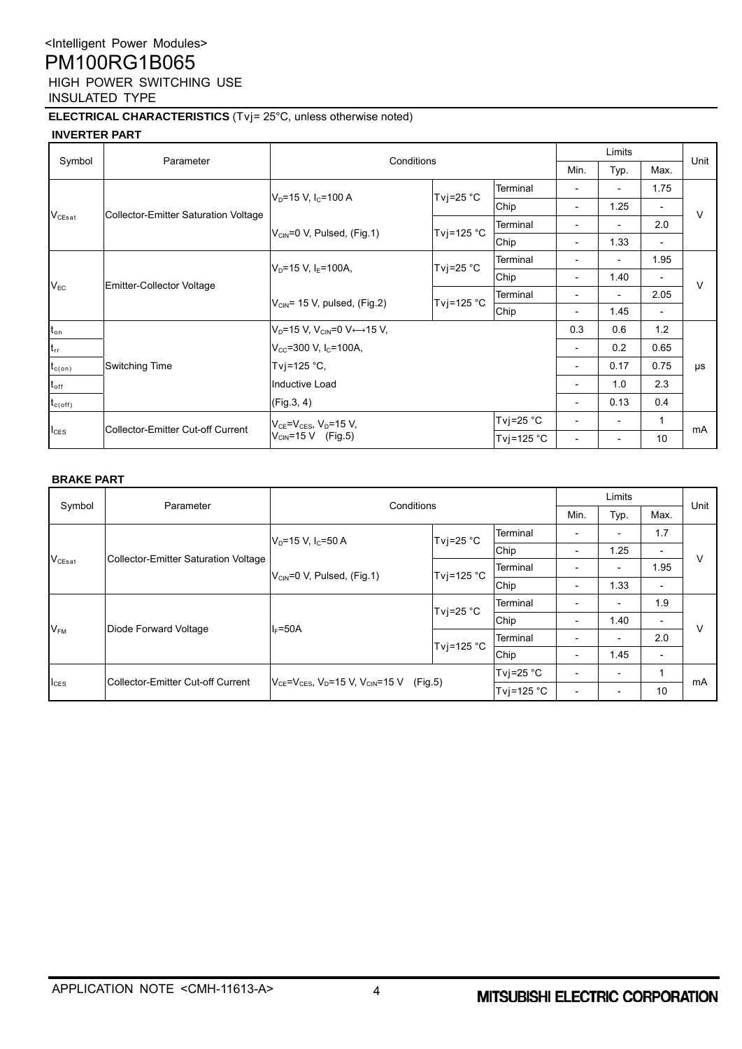### **ELECTRICAL CHARACTERISTICS** (Tvj= 25°C, unless otherwise noted)

### **INVERTER PART**

|                   | Parameter                            | Conditions                                                      |              | Limits                   |                              |                              | Unit                     |         |
|-------------------|--------------------------------------|-----------------------------------------------------------------|--------------|--------------------------|------------------------------|------------------------------|--------------------------|---------|
| Symbol            |                                      |                                                                 |              |                          | Min.                         | Typ.                         | Max.                     |         |
|                   |                                      |                                                                 |              | Terminal                 |                              | $\qquad \qquad \blacksquare$ | 1.75                     |         |
|                   | Collector-Emitter Saturation Voltage | $VD=15 V, IC=100 A$                                             | Tvj=25 $°C$  | Chip                     |                              | 1.25                         |                          | $\vee$  |
| $V_{CEsat}$       |                                      | $V_{CIN}$ =0 V, Pulsed, (Fig.1)                                 | Tvj=125 $°C$ | Terminal                 |                              |                              | 2.0                      |         |
|                   |                                      |                                                                 |              | Chip                     | $\qquad \qquad \blacksquare$ | 1.33                         | $\overline{\phantom{a}}$ |         |
|                   | Emitter-Collector Voltage            | Tvj=25 $°C$<br>$V_{D}$ =15 V, I <sub>F</sub> =100A,             |              | Terminal                 |                              | $\overline{\phantom{0}}$     | 1.95                     | $\vee$  |
|                   |                                      |                                                                 |              | Chip                     | $\overline{\phantom{0}}$     | 1.40                         |                          |         |
| $V_{EC}$          |                                      | Tvj=125 $°C$<br>$V_{\text{CIN}}$ = 15 V, pulsed, (Fig.2)        |              | Terminal                 |                              | $\overline{\phantom{0}}$     | 2.05                     |         |
|                   |                                      |                                                                 | Chip         | $\overline{\phantom{0}}$ | 1.45                         | $\overline{\phantom{a}}$     |                          |         |
| $t_{\mathsf{on}}$ |                                      | $V_D = 15$ V, $V_{CIN} = 0$ V $\leftrightarrow$ 15 V,           |              |                          | 0.3                          | 0.6                          | 1.2                      |         |
| $t_{rr}$          |                                      | $V_{CC}$ =300 V, I <sub>C</sub> =100A,                          |              | $\overline{a}$           | 0.2                          | 0.65                         |                          |         |
| $t_{c(on)}$       | <b>Switching Time</b>                | Tvj=125 °C,                                                     |              |                          |                              | 0.17                         | 0.75                     | $\mu s$ |
| $\rm t_{off}$     |                                      | Inductive Load                                                  |              |                          |                              | 1.0                          | 2.3                      |         |
| $\rm t_{c(off)}$  |                                      | (Fig.3, 4)                                                      |              |                          |                              | 0.13                         | 0.4                      |         |
|                   |                                      | $V_{CE} = V_{CES}$ , $V_D = 15 V$ ,<br>$V_{CIN} = 15 V$ (Fig.5) |              | Tvj=25 $°C$              | $\overline{\phantom{a}}$     | $\overline{\phantom{0}}$     | 1                        |         |
| $I_{\text{CES}}$  | Collector-Emitter Cut-off Current    |                                                                 |              | Tvj=125 $^{\circ}$ C     |                              |                              | 10                       | mA      |

#### **BRAKE PART**

| Symbol           | Parameter                            | Conditions                                                   |                      |            | Limits                   |                          |                          | Unit |
|------------------|--------------------------------------|--------------------------------------------------------------|----------------------|------------|--------------------------|--------------------------|--------------------------|------|
|                  |                                      |                                                              |                      |            | Min.                     | Typ.                     | Max.                     |      |
|                  |                                      | $V_D = 15 V, I_C = 50 A$                                     | Tvj=25 $°C$          | Terminal   |                          | $\overline{\phantom{a}}$ | 1.7                      |      |
|                  |                                      |                                                              |                      | Chip       | $\overline{\phantom{0}}$ | 1.25                     | $\overline{\phantom{a}}$ | V    |
| $V_{CEsat}$      | Collector-Emitter Saturation Voltage | $V_{\text{CIN}} = 0$ V, Pulsed, (Fig.1)                      | Tvj=125 $^{\circ}$ C | Terminal   |                          | $\overline{\phantom{a}}$ | 1.95                     |      |
|                  |                                      |                                                              |                      | Chip       |                          | 1.33                     | $\overline{\phantom{a}}$ |      |
|                  |                                      | Tvj=25 $°C$<br>$I_F = 50A$<br>Tvj=125 °C                     |                      | Terminal   |                          |                          | 1.9                      | V    |
|                  |                                      |                                                              |                      | Chip       |                          | 1.40                     | $\overline{\phantom{a}}$ |      |
| $V_{FM}$         | Diode Forward Voltage                |                                                              |                      | Terminal   |                          | $\overline{\phantom{a}}$ | 2.0                      |      |
|                  |                                      |                                                              |                      | Chip       | $\overline{\phantom{0}}$ | 1.45                     | $\overline{\phantom{a}}$ |      |
|                  |                                      | $V_{CE} = V_{CES}$ , $V_D = 15 V$ , $V_{CIN} = 15 V$ (Fig.5) |                      | Tvj=25 °C  |                          | $\overline{\phantom{a}}$ |                          |      |
| $I_{\text{CES}}$ | Collector-Emitter Cut-off Current    |                                                              |                      | Tvi=125 °C | $\overline{\phantom{a}}$ | $\overline{\phantom{a}}$ | 10                       | mA   |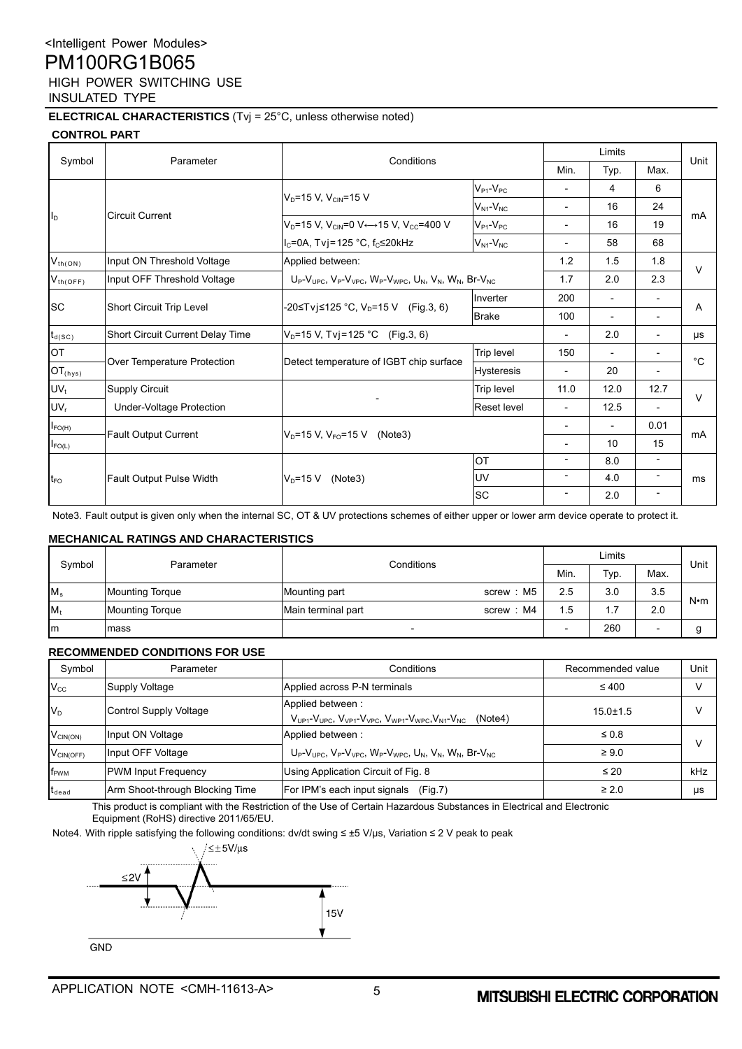### **ELECTRICAL CHARACTERISTICS** (Tvj = 25°C, unless otherwise noted)

### **CONTROL PART**

|                     |                                  |                                                                                      | Conditions          |                          | Limits                   |                              |             |
|---------------------|----------------------------------|--------------------------------------------------------------------------------------|---------------------|--------------------------|--------------------------|------------------------------|-------------|
| Symbol              | Parameter                        |                                                                                      |                     |                          | Typ.                     | Max.                         | Unit        |
|                     |                                  |                                                                                      | $V_{P1}$ - $V_{PC}$ | $\overline{a}$           | 4                        | 6                            |             |
|                     |                                  | $V_D = 15 V, V_{CIN} = 15 V$                                                         | $V_{N1}$ - $V_{NC}$ | $\overline{\phantom{0}}$ | 16                       | 24                           |             |
| II <sub>D</sub>     | <b>Circuit Current</b>           | $VD=15$ V, $VC1N=0$ V $\leftrightarrow$ 15 V, $VCC=400$ V                            | $V_{P1}$ - $V_{PC}$ | $\overline{\phantom{0}}$ | 16                       | 19                           | mA          |
|                     |                                  | $I_c = 0A$ , Tvj=125 °C, f <sub>c</sub> ≤20kHz                                       | $V_{N1}$ - $V_{NC}$ | $\overline{\phantom{0}}$ | 58                       | 68                           |             |
| $V_{th(ON)}$        | Input ON Threshold Voltage       | Applied between:                                                                     |                     | 1.2                      | 1.5                      | 1.8                          | $\vee$      |
| $V_{th(OFF)}$       | Input OFF Threshold Voltage      | $U_P-V_{UPC}$ , $V_P-V_{VPC}$ , $W_P-V_{WPC}$ , $U_N$ , $V_N$ , $W_N$ , Br- $V_{NC}$ |                     | 1.7                      | 2.0                      | 2.3                          |             |
|                     | Short Circuit Trip Level         | -20≤Tvj≤125 °C, V <sub>D</sub> =15 V (Fig.3, 6)                                      | Inverter            | 200                      | $\overline{\phantom{a}}$ | $\overline{\phantom{a}}$     | A           |
| <b>SC</b>           |                                  |                                                                                      | <b>Brake</b>        | 100                      | $\overline{a}$           | $\overline{\phantom{a}}$     |             |
| $t_{d(SC)}$         | Short Circuit Current Delay Time | $V_D = 15 V$ , Tvj = 125 °C (Fig. 3, 6)                                              |                     |                          | 2.0                      | $\overline{\phantom{a}}$     | μs          |
| <b>OT</b>           |                                  |                                                                                      | Trip level          | 150                      | $\overline{\phantom{a}}$ | $\qquad \qquad \blacksquare$ | $^{\circ}C$ |
| $OT_{\text{(hys)}}$ | Over Temperature Protection      | Detect temperature of IGBT chip surface                                              | <b>Hysteresis</b>   | -                        | 20                       | $\overline{\phantom{a}}$     |             |
| $UV_t$              | <b>Supply Circuit</b>            |                                                                                      | Trip level          | 11.0                     | 12.0                     | 12.7                         | $\vee$      |
| UV <sub>r</sub>     | Under-Voltage Protection         |                                                                                      | Reset level         | $\overline{\phantom{a}}$ | 12.5                     | $\overline{\phantom{0}}$     |             |
| $I_{FO(H)}$         |                                  |                                                                                      |                     | $\overline{\phantom{0}}$ | $\overline{\phantom{a}}$ | 0.01                         |             |
| $I_{FO(L)}$         | <b>Fault Output Current</b>      | $V_D = 15 V$ , $V_{FO} = 15 V$ (Note3)                                               |                     | $\overline{\phantom{0}}$ | 10                       | 15                           | mA          |
|                     |                                  |                                                                                      | OT                  | $\overline{\phantom{0}}$ | 8.0                      | $\overline{\phantom{a}}$     | ms          |
| t <sub>FO</sub>     | <b>Fault Output Pulse Width</b>  | $V_D = 15 V$<br>(Note3)                                                              | <b>UV</b>           | $\overline{\phantom{0}}$ | 4.0                      | $\overline{\phantom{a}}$     |             |
|                     |                                  |                                                                                      | <b>SC</b>           | $\overline{\phantom{a}}$ | 2.0                      | $\overline{\phantom{a}}$     |             |

Note3. Fault output is given only when the internal SC, OT & UV protections schemes of either upper or lower arm device operate to protect it.

#### **MECHANICAL RATINGS AND CHARACTERISTICS**

| Symbol  | Parameter              | Conditions                        |     | Limits |                          |             |
|---------|------------------------|-----------------------------------|-----|--------|--------------------------|-------------|
|         |                        |                                   |     | Typ.   | Max.                     | Unit        |
| $M_s$   | <b>Mounting Torque</b> | M5<br>Mounting part<br>screw:     | 2.5 | 3.0    | 3.5                      | $N \cdot m$ |
| $M_{t}$ | <b>Mounting Torque</b> | M4<br>Main terminal part<br>screw | 1.5 | .      | 2.0                      |             |
| Im      | Imass                  |                                   |     | 260    | $\overline{\phantom{0}}$ |             |

#### **RECOMMENDED CONDITIONS FOR USE**

| Symbol                      | Parameter                       | Conditions                                                                                                              | Recommended value | Unit |
|-----------------------------|---------------------------------|-------------------------------------------------------------------------------------------------------------------------|-------------------|------|
| $V_{\rm CC}$                | Supply Voltage                  | Applied across P-N terminals                                                                                            | $\leq 400$        |      |
| $V_D$                       | <b>Control Supply Voltage</b>   | Applied between:<br>$V_{UP1}$ - $V_{UPC}$ , $V_{VP1}$ - $V_{VPC}$ , $V_{WP1}$ - $V_{WPC}$ , $V_{N1}$ - $V_{NC}$ (Note4) | $15.0 \pm 1.5$    |      |
| $V_{\text{CIN}(\text{ON})}$ | Input ON Voltage                | Applied between:                                                                                                        | $\leq 0.8$        |      |
| $V_{CIN(OFF)}$              | Input OFF Voltage               | $U_P-V_{UPC}$ , $V_P-V_{VPC}$ , $W_P-V_{WPC}$ , $U_N$ , $V_N$ , $W_N$ , Br- $V_{NC}$                                    | $\geq 9.0$        |      |
| f <sub>PWM</sub>            | <b>PWM Input Frequency</b>      | Using Application Circuit of Fig. 8                                                                                     | $\leq 20$         | kHz  |
| $t_{dead}$                  | Arm Shoot-through Blocking Time | For IPM's each input signals<br>(Fiq.7)                                                                                 | $\geq 2.0$        | μs   |

This product is compliant with the Restriction of the Use of Certain Hazardous Substances in Electrical and Electronic Equipment (RoHS) directive 2011/65/EU.

Note4. With ripple satisfying the following conditions: dv/dt swing ≤ ±5 V/μs, Variation ≤ 2 V peak to peak



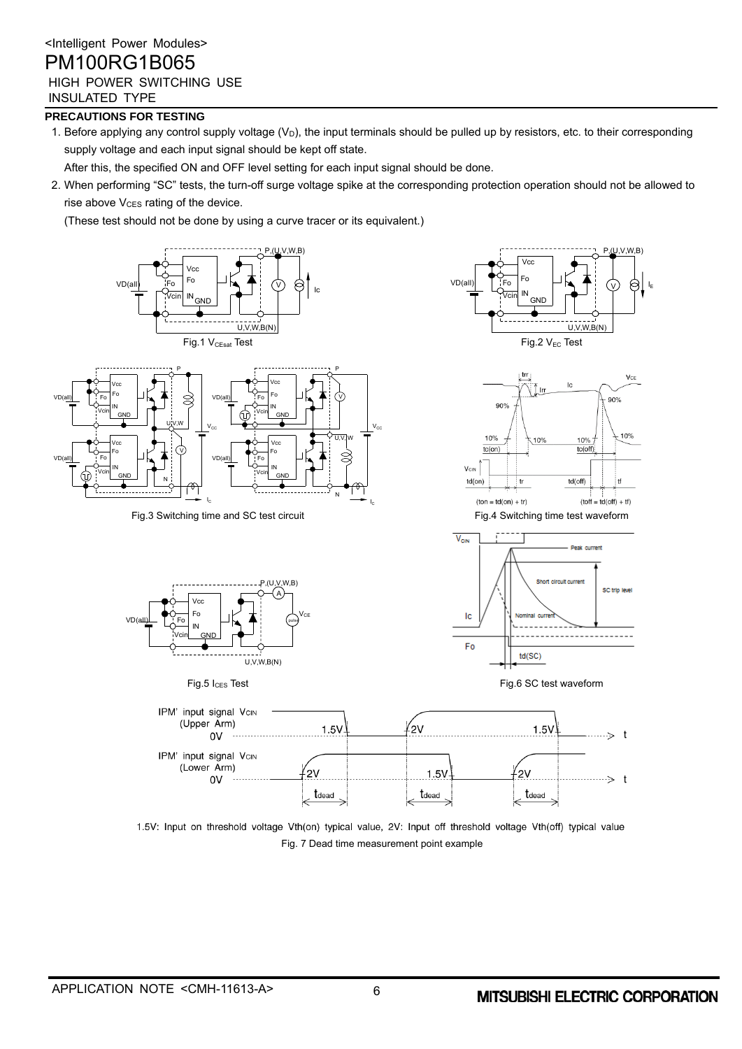### **PRECAUTIONS FOR TESTING**

 $\sqrt{D}$ 

VD(all)

1. Before applying any control supply voltage  $(V_D)$ , the input terminals should be pulled up by resistors, etc. to their corresponding supply voltage and each input signal should be kept off state.

After this, the specified ON and OFF level setting for each input signal should be done.

2. When performing "SC" tests, the turn-off surge voltage spike at the corresponding protection operation should not be allowed to rise above V<sub>CES</sub> rating of the device.

(These test should not be done by using a curve tracer or its equivalent.)



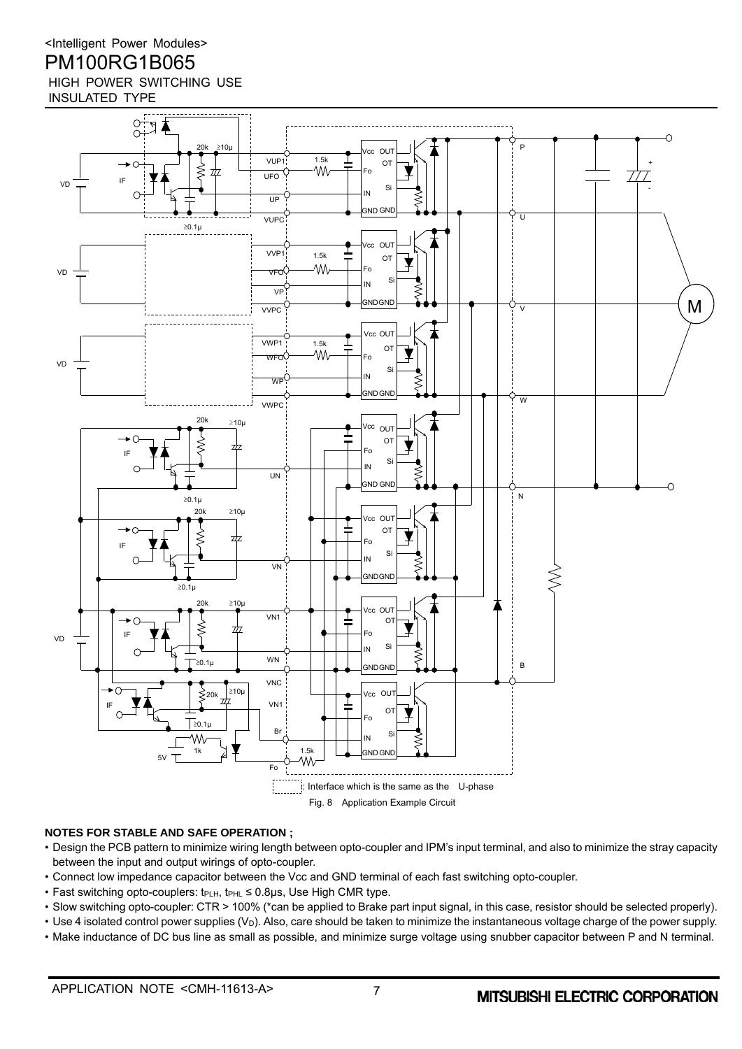

### **NOTES FOR STABLE AND SAFE OPERATION ;**

- Design the PCB pattern to minimize wiring length between opto-coupler and IPM's input terminal, and also to minimize the stray capacity between the input and output wirings of opto-coupler.
- Connect low impedance capacitor between the Vcc and GND terminal of each fast switching opto-coupler.
- Fast switching opto-couplers: t<sub>PLH</sub>, t<sub>PHL</sub> ≤ 0.8µs, Use High CMR type.
- Slow switching opto-coupler: CTR > 100% (\*can be applied to Brake part input signal, in this case, resistor should be selected properly).
- Use 4 isolated control power supplies (V<sub>D</sub>). Also, care should be taken to minimize the instantaneous voltage charge of the power supply.
- Make inductance of DC bus line as small as possible, and minimize surge voltage using snubber capacitor between P and N terminal.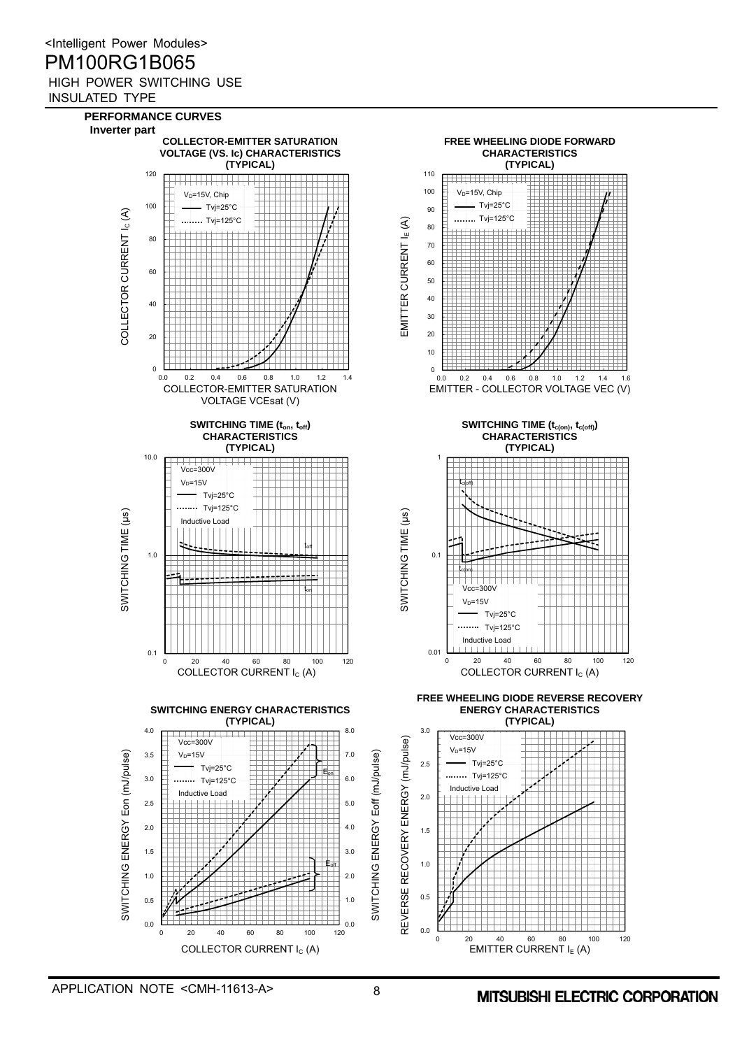





0 20 40 60 80 100 120





0.1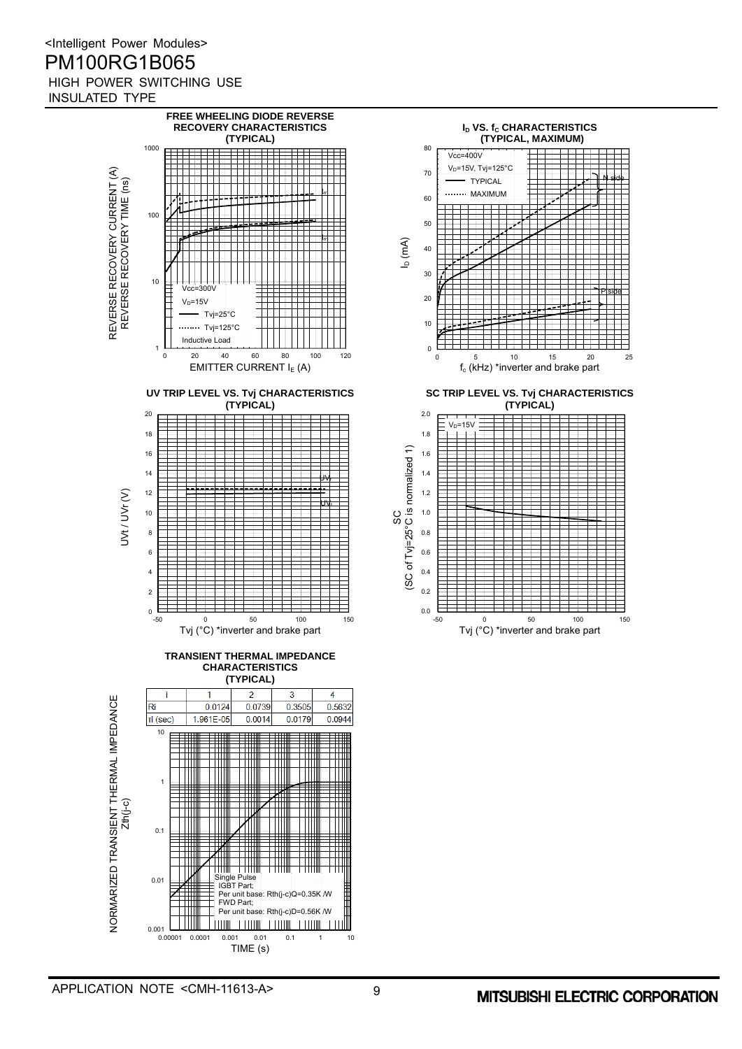

 $_{0.001}$  L  $_{0.00001}$ 

TIME (s)

FWD Part;

**THIM** 

0.0001 0.001 0.01 0.1 1 10

Per unit base: Rth(j-c)D=0.56K /W

**TELLUME ELEVINIE ELEVINIE** 

 $+11$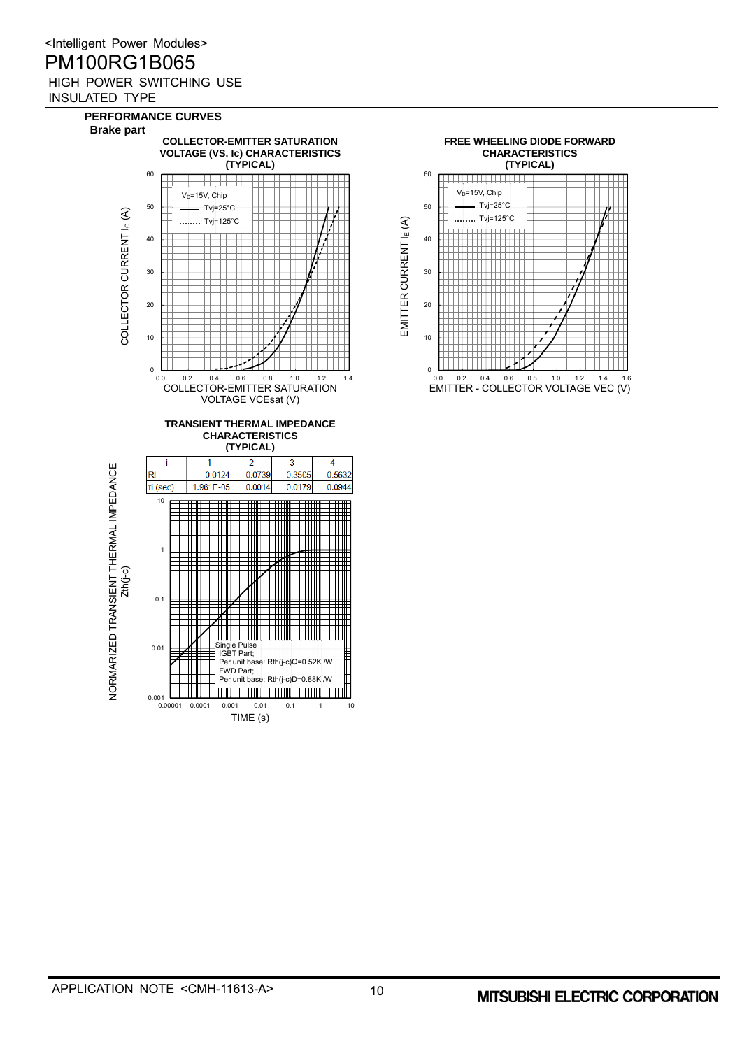

TIME (s)